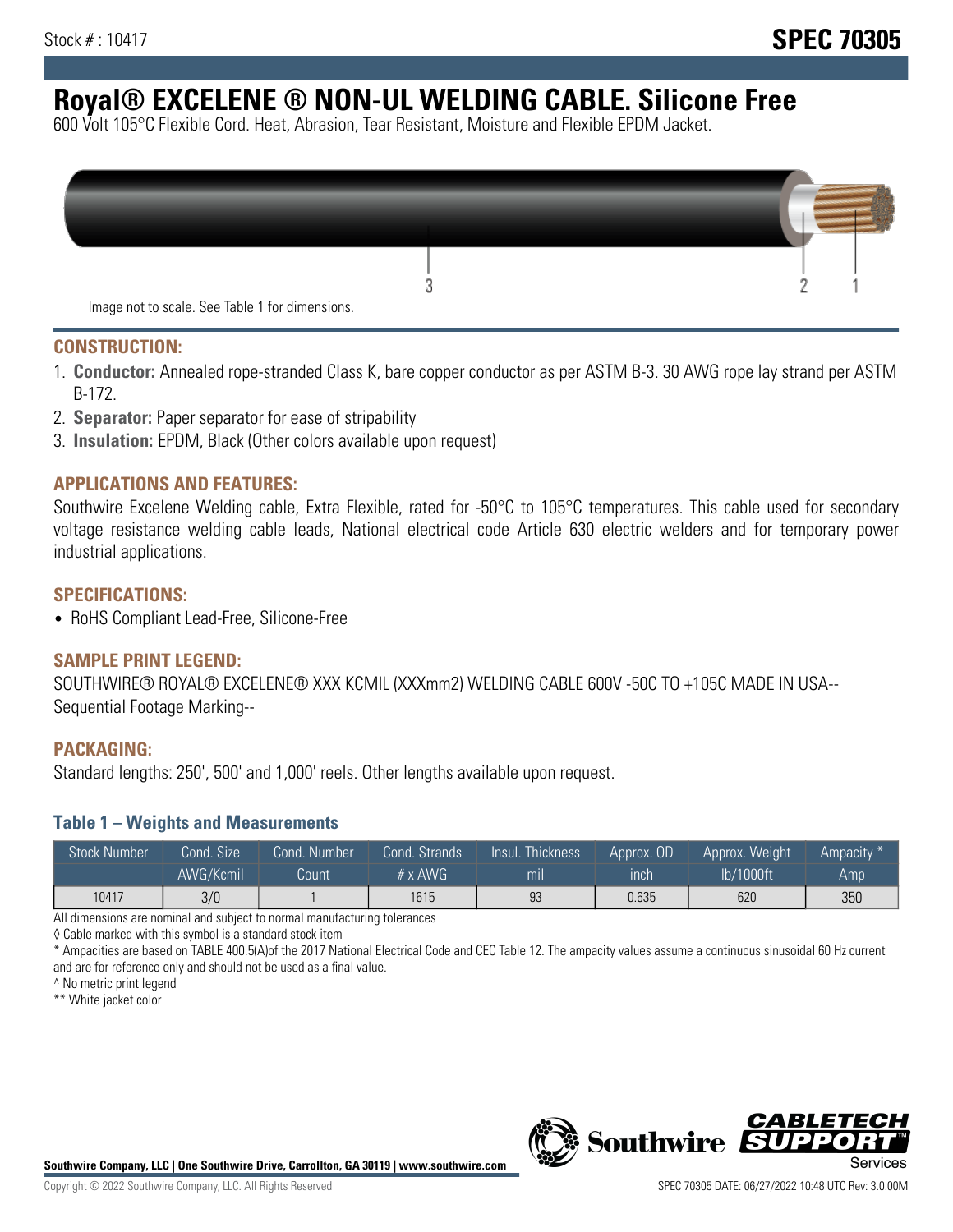# **Royal® EXCELENE ® NON-UL WELDING CABLE. Silicone Free**

600 Volt 105°C Flexible Cord. Heat, Abrasion, Tear Resistant, Moisture and Flexible EPDM Jacket.

| Image not to scale. See Table 1 for dimensions. |  |
|-------------------------------------------------|--|

#### **CONSTRUCTION:**

- 1. **Conductor:** Annealed rope-stranded Class K, bare copper conductor as per ASTM B-3. 30 AWG rope lay strand per ASTM B-172.
- 2. **Separator:** Paper separator for ease of stripability
- 3. **Insulation:** EPDM, Black (Other colors available upon request)

#### **APPLICATIONS AND FEATURES:**

Southwire Excelene Welding cable, Extra Flexible, rated for -50°C to 105°C temperatures. This cable used for secondary voltage resistance welding cable leads, National electrical code Article 630 electric welders and for temporary power industrial applications.

#### **SPECIFICATIONS:**

• RoHS Compliant Lead-Free, Silicone-Free

#### **SAMPLE PRINT LEGEND:**

SOUTHWIRE® ROYAL® EXCELENE® XXX KCMIL (XXXmm2) WELDING CABLE 600V -50C TO +105C MADE IN USA-- Sequential Footage Marking--

#### **PACKAGING:**

Standard lengths: 250', 500' and 1,000' reels. Other lengths available upon request.

#### **Table 1 – Weights and Measurements**

| <b>Stock Number</b> | Cond. Size | Cond. Number | Cond. Strands   | Insul. Thickness | Approx. OD | Approx. Weight | "Ampacity" |
|---------------------|------------|--------------|-----------------|------------------|------------|----------------|------------|
|                     | AWG/Kcmil  | Count        | $# \times$ AWG. | mı               | inch       | lb/1000ft      | Amp        |
| 10417               | 3/0        |              | 1615            | 93               | 0.635      | 620            | 350        |

All dimensions are nominal and subject to normal manufacturing tolerances

◊ Cable marked with this symbol is a standard stock item

\* Ampacities are based on TABLE 400.5(A)of the 2017 National Electrical Code and CEC Table 12. The ampacity values assume a continuous sinusoidal 60 Hz current and are for reference only and should not be used as a final value.

^ No metric print legend

\*\* White jacket color



*CABLE*